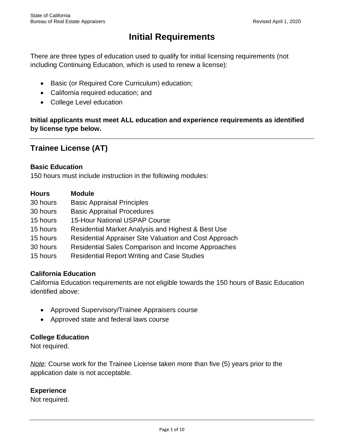# **Initial Requirements**

 There are three types of education used to qualify for initial licensing requirements (not including Continuing Education, which is used to renew a license):

- Basic (or Required Core Curriculum) education;
- California required education; and
- College Level education

 **Initial applicants must meet ALL education and experience requirements as identified by license type below.** 

# **Trainee License (AT)**

## **Basic Education**

150 hours must include instruction in the following modules:

| <b>Hours</b> | <b>Module</b>                                          |
|--------------|--------------------------------------------------------|
| 30 hours     | <b>Basic Appraisal Principles</b>                      |
| 30 hours     | <b>Basic Appraisal Procedures</b>                      |
| 15 hours     | <b>15-Hour National USPAP Course</b>                   |
| 15 hours     | Residential Market Analysis and Highest & Best Use     |
| 15 hours     | Residential Appraiser Site Valuation and Cost Approach |
| 30 hours     | Residential Sales Comparison and Income Approaches     |
| 15 hours     | <b>Residential Report Writing and Case Studies</b>     |

# **California Education**

 California Education requirements are not eligible towards the 150 hours of Basic Education identified above:

- Approved Supervisory/Trainee Appraisers course
- Approved state and federal laws course

# **College Education**

Not required.

 *Note:* Course work for the Trainee License taken more than five (5) years prior to the application date is not acceptable.

## **Experience**

Not required.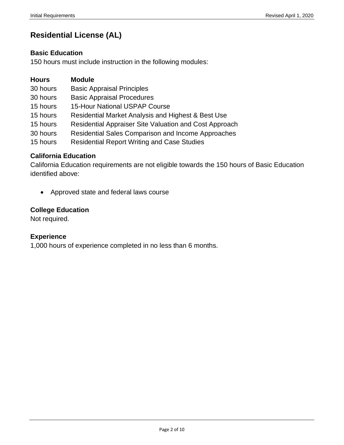# **Residential License (AL)**

## **Basic Education**

150 hours must include instruction in the following modules:

| <b>Module</b> |
|---------------|
|               |

- 30 hours Basic Appraisal Principles
- 30 hours Basic Appraisal Procedures
- 15 hours 15-Hour National USPAP Course
- 15 hours Residential Market Analysis and Highest & Best Use
- 15 hours Residential Appraiser Site Valuation and Cost Approach
- 30 hours Residential Sales Comparison and Income Approaches
- 15 hours Residential Report Writing and Case Studies

## **California Education**

 California Education requirements are not eligible towards the 150 hours of Basic Education identified above:

• Approved state and federal laws course

## **College Education**

Not required.

## **Experience**

1,000 hours of experience completed in no less than 6 months.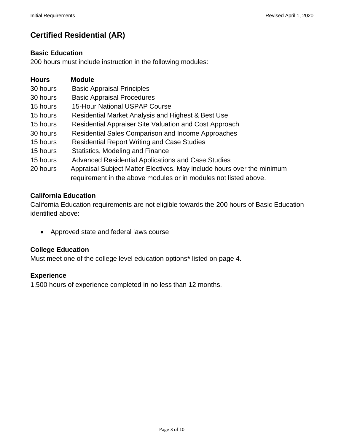# **Certified Residential (AR)**

## **Basic Education**

200 hours must include instruction in the following modules:

| <b>Hours</b> | <b>Module</b>                                                                                                                              |  |
|--------------|--------------------------------------------------------------------------------------------------------------------------------------------|--|
| 30 hours     | <b>Basic Appraisal Principles</b>                                                                                                          |  |
| 30 hours     | <b>Basic Appraisal Procedures</b>                                                                                                          |  |
| 15 hours     | <b>15-Hour National USPAP Course</b>                                                                                                       |  |
| 15 hours     | Residential Market Analysis and Highest & Best Use                                                                                         |  |
| 15 hours     | Residential Appraiser Site Valuation and Cost Approach                                                                                     |  |
| 30 hours     | <b>Residential Sales Comparison and Income Approaches</b>                                                                                  |  |
| 15 hours     | <b>Residential Report Writing and Case Studies</b>                                                                                         |  |
| 15 hours     | Statistics, Modeling and Finance                                                                                                           |  |
| 15 hours     | Advanced Residential Applications and Case Studies                                                                                         |  |
| 20 hours     | Appraisal Subject Matter Electives. May include hours over the minimum<br>requirement in the above modules or in modules not listed above. |  |

# **California Education**

 California Education requirements are not eligible towards the 200 hours of Basic Education identified above:

• Approved state and federal laws course

# **College Education**

Must meet one of the college level education options**\*** listed on page 4.

# **Experience**

1,500 hours of experience completed in no less than 12 months.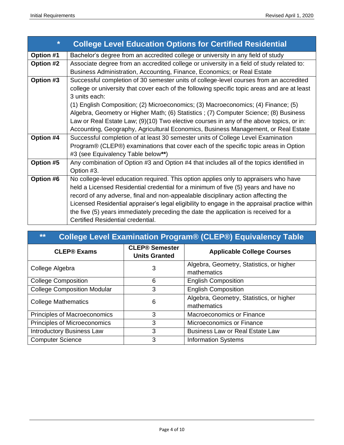| $\ast$    | <b>College Level Education Options for Certified Residential</b>                              |  |  |  |  |  |
|-----------|-----------------------------------------------------------------------------------------------|--|--|--|--|--|
| Option #1 | Bachelor's degree from an accredited college or university in any field of study              |  |  |  |  |  |
| Option #2 | Associate degree from an accredited college or university in a field of study related to:     |  |  |  |  |  |
|           | Business Administration, Accounting, Finance, Economics; or Real Estate                       |  |  |  |  |  |
| Option #3 | Successful completion of 30 semester units of college-level courses from an accredited        |  |  |  |  |  |
|           | college or university that cover each of the following specific topic areas and are at least  |  |  |  |  |  |
|           | 3 units each:                                                                                 |  |  |  |  |  |
|           | (1) English Composition; (2) Microeconomics; (3) Macroeconomics; (4) Finance; (5)             |  |  |  |  |  |
|           | Algebra, Geometry or Higher Math; (6) Statistics; (7) Computer Science; (8) Business          |  |  |  |  |  |
|           | Law or Real Estate Law; (9)(10) Two elective courses in any of the above topics, or in:       |  |  |  |  |  |
|           | Accounting, Geography, Agricultural Economics, Business Management, or Real Estate            |  |  |  |  |  |
| Option #4 | Successful completion of at least 30 semester units of College Level Examination              |  |  |  |  |  |
|           | Program® (CLEP®) examinations that cover each of the specific topic areas in Option           |  |  |  |  |  |
|           | #3 (see Equivalency Table below**)                                                            |  |  |  |  |  |
| Option #5 | Any combination of Option #3 and Option #4 that includes all of the topics identified in      |  |  |  |  |  |
|           | Option #3.                                                                                    |  |  |  |  |  |
| Option #6 | No college-level education required. This option applies only to appraisers who have          |  |  |  |  |  |
|           | held a Licensed Residential credential for a minimum of five (5) years and have no            |  |  |  |  |  |
|           | record of any adverse, final and non-appealable disciplinary action affecting the             |  |  |  |  |  |
|           | Licensed Residential appraiser's legal eligibility to engage in the appraisal practice within |  |  |  |  |  |
|           | the five (5) years immediately preceding the date the application is received for a           |  |  |  |  |  |
|           | Certified Residential credential.                                                             |  |  |  |  |  |

| **<br><b>College Level Examination Program® (CLEP®) Equivalency Table</b> |                                               |                                          |  |  |  |  |
|---------------------------------------------------------------------------|-----------------------------------------------|------------------------------------------|--|--|--|--|
| <b>CLEP® Exams</b>                                                        | <b>CLEP® Semester</b><br><b>Units Granted</b> | <b>Applicable College Courses</b>        |  |  |  |  |
| College Algebra                                                           | 3                                             | Algebra, Geometry, Statistics, or higher |  |  |  |  |
|                                                                           |                                               | mathematics                              |  |  |  |  |
| <b>College Composition</b>                                                | 6                                             | <b>English Composition</b>               |  |  |  |  |
| <b>College Composition Modular</b>                                        | 3                                             | <b>English Composition</b>               |  |  |  |  |
| <b>College Mathematics</b>                                                | 6                                             | Algebra, Geometry, Statistics, or higher |  |  |  |  |
|                                                                           |                                               | mathematics                              |  |  |  |  |
| <b>Principles of Macroeconomics</b>                                       | 3                                             | Macroeconomics or Finance                |  |  |  |  |
| Principles of Microeconomics                                              | 3                                             | Microeconomics or Finance                |  |  |  |  |
| <b>Introductory Business Law</b>                                          | 3                                             | <b>Business Law or Real Estate Law</b>   |  |  |  |  |
| <b>Computer Science</b>                                                   | 3                                             | <b>Information Systems</b>               |  |  |  |  |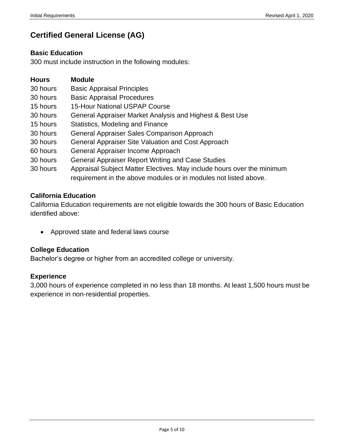# **Certified General License (AG)**

## **Basic Education**

300 must include instruction in the following modules:

| <b>Hours</b> | <b>Module</b>                                                          |
|--------------|------------------------------------------------------------------------|
| 30 hours     | <b>Basic Appraisal Principles</b>                                      |
| 30 hours     | <b>Basic Appraisal Procedures</b>                                      |
| 15 hours     | <b>15-Hour National USPAP Course</b>                                   |
| 30 hours     | General Appraiser Market Analysis and Highest & Best Use               |
| 15 hours     | Statistics, Modeling and Finance                                       |
| 30 hours     | General Appraiser Sales Comparison Approach                            |
| 30 hours     | General Appraiser Site Valuation and Cost Approach                     |
| 60 hours     | General Appraiser Income Approach                                      |
| 30 hours     | <b>General Appraiser Report Writing and Case Studies</b>               |
| 30 hours     | Appraisal Subject Matter Electives. May include hours over the minimum |
|              | requirement in the above modules or in modules not listed above.       |

# **California Education**

 California Education requirements are not eligible towards the 300 hours of Basic Education identified above:

• Approved state and federal laws course

# **College Education**

Bachelor's degree or higher from an accredited college or university.

#### **Experience**

 3,000 hours of experience completed in no less than 18 months. At least 1,500 hours must be experience in non-residential properties.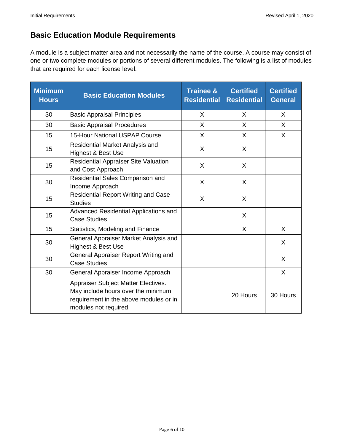# **Basic Education Module Requirements**

 A module is a subject matter area and not necessarily the name of the course. A course may consist of one or two complete modules or portions of several different modules. The following is a list of modules that are required for each license level.

| <b>Minimum</b><br><b>Hours</b> | <b>Basic Education Modules</b>                                                                                                               | <b>Trainee &amp;</b><br><b>Residential</b> | <b>Certified</b><br><b>Residential</b> | <b>Certified</b><br><b>General</b> |
|--------------------------------|----------------------------------------------------------------------------------------------------------------------------------------------|--------------------------------------------|----------------------------------------|------------------------------------|
| 30                             | <b>Basic Appraisal Principles</b>                                                                                                            | X                                          | X                                      | X                                  |
| 30                             | <b>Basic Appraisal Procedures</b>                                                                                                            | $\mathsf{X}$                               | X                                      | X                                  |
| 15                             | <b>15-Hour National USPAP Course</b>                                                                                                         | X                                          | $\mathsf{X}$                           | X                                  |
| 15                             | Residential Market Analysis and<br>Highest & Best Use                                                                                        | X                                          | X                                      |                                    |
| 15                             | <b>Residential Appraiser Site Valuation</b><br>and Cost Approach                                                                             | X                                          | $\sf X$                                |                                    |
| 30                             | Residential Sales Comparison and<br>Income Approach                                                                                          | X                                          | $\sf X$                                |                                    |
| 15                             | <b>Residential Report Writing and Case</b><br><b>Studies</b>                                                                                 | X                                          | $\mathsf{X}$                           |                                    |
| 15                             | Advanced Residential Applications and<br><b>Case Studies</b>                                                                                 |                                            | X                                      |                                    |
| 15                             | Statistics, Modeling and Finance                                                                                                             |                                            | $\mathsf{X}$                           | X                                  |
| 30                             | General Appraiser Market Analysis and<br><b>Highest &amp; Best Use</b>                                                                       |                                            |                                        | X                                  |
| 30                             | General Appraiser Report Writing and<br><b>Case Studies</b>                                                                                  |                                            |                                        | X                                  |
| 30                             | General Appraiser Income Approach                                                                                                            |                                            |                                        | $\sf X$                            |
|                                | Appraiser Subject Matter Electives.<br>May include hours over the minimum<br>requirement in the above modules or in<br>modules not required. |                                            | 20 Hours                               | 30 Hours                           |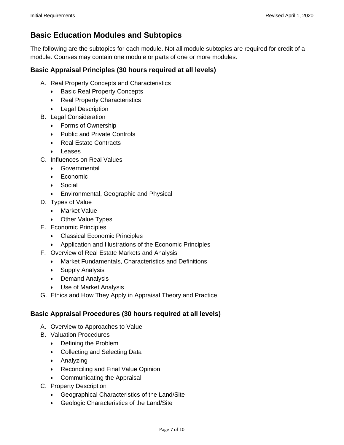# **Basic Education Modules and Subtopics**

 The following are the subtopics for each module. Not all module subtopics are required for credit of a module. Courses may contain one module or parts of one or more modules.

## **Basic Appraisal Principles (30 hours required at all levels)**

- A. Real Property Concepts and Characteristics
	- Basic Real Property Concepts
	- Real Property Characteristics
	- Legal Description
- B. Legal Consideration
	- Forms of Ownership
	- Public and Private Controls
	- Real Estate Contracts
	- Leases
- C. Influences on Real Values
	- Governmental
	- Economic
	- Social
	- Environmental, Geographic and Physical
- D. Types of Value
	- Market Value
	- Other Value Types
- E. Economic Principles
	- Classical Economic Principles
	- Application and Illustrations of the Economic Principles
- F. Overview of Real Estate Markets and Analysis
	- Market Fundamentals, Characteristics and Definitions
	- Supply Analysis
	- Demand Analysis
	- Use of Market Analysis
- G. Ethics and How They Apply in Appraisal Theory and Practice

## **Basic Appraisal Procedures (30 hours required at all levels)**

- A. Overview to Approaches to Value
- B. Valuation Procedures
	- Defining the Problem
	- Collecting and Selecting Data
	- Analyzing
	- Reconciling and Final Value Opinion
	- Communicating the Appraisal
- C. Property Description
	- Geographical Characteristics of the Land/Site
	- Geologic Characteristics of the Land/Site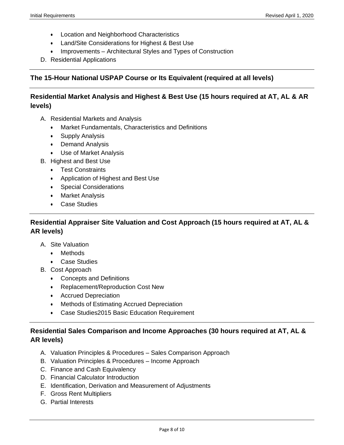- Location and Neighborhood Characteristics
- Land/Site Considerations for Highest & Best Use
- Improvements Architectural Styles and Types of Construction
- D. Residential Applications

## **The 15Hour National USPAP Course or Its Equivalent (required at all levels)**

## **Residential Market Analysis and Highest & Best Use (15 hours required at AT, AL & AR levels)**

- A. Residential Markets and Analysis
	- Market Fundamentals, Characteristics and Definitions
	- Supply Analysis
	- Demand Analysis
	- Use of Market Analysis
- B. Highest and Best Use
	- Test Constraints
	- Application of Highest and Best Use
	- Special Considerations
	- Market Analysis
	- Case Studies

# **Residential Appraiser Site Valuation and Cost Approach (15 hours required at AT, AL & AR levels)**

- A. Site Valuation
	- Methods
	- Case Studies
- B. Cost Approach
	- Concepts and Definitions
	- Replacement/Reproduction Cost New
	- Accrued Depreciation
	- Methods of Estimating Accrued Depreciation
	- Case Studies2015 Basic Education Requirement

# **Residential Sales Comparison and Income Approaches (30 hours required at AT, AL & AR levels)**

- A. Valuation Principles & Procedures Sales Comparison Approach
- B. Valuation Principles & Procedures Income Approach
- C. Finance and Cash Equivalency
- D. Financial Calculator Introduction
- E. Identification, Derivation and Measurement of Adjustments
- F. Gross Rent Multipliers
- G. Partial Interests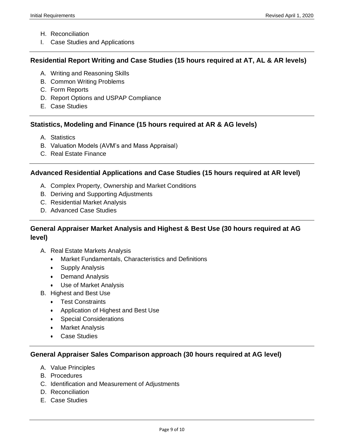- H. Reconciliation
- I. Case Studies and Applications

#### **Residential Report Writing and Case Studies (15 hours required at AT, AL & AR levels)**

- A. Writing and Reasoning Skills
- B. Common Writing Problems
- C. Form Reports
- D. Report Options and USPAP Compliance
- E. Case Studies

#### **Statistics, Modeling and Finance (15 hours required at AR & AG levels)**

- A. Statistics
- B. Valuation Models (AVM's and Mass Appraisal)
- C. Real Estate Finance

#### **Advanced Residential Applications and Case Studies (15 hours required at AR level)**

- A. Complex Property, Ownership and Market Conditions
- B. Deriving and Supporting Adjustments
- C. Residential Market Analysis
- D. Advanced Case Studies

## **General Appraiser Market Analysis and Highest & Best Use (30 hours required at AG level)**

- A. Real Estate Markets Analysis
	- Market Fundamentals, Characteristics and Definitions
	- Supply Analysis
	- Demand Analysis
	- Use of Market Analysis
- B. Highest and Best Use
	- Test Constraints
	- Application of Highest and Best Use
	- Special Considerations
	- Market Analysis
	- Case Studies

#### **General Appraiser Sales Comparison approach (30 hours required at AG level)**

- A. Value Principles
- B. Procedures
- C. Identification and Measurement of Adjustments
- D. Reconciliation
- E. Case Studies